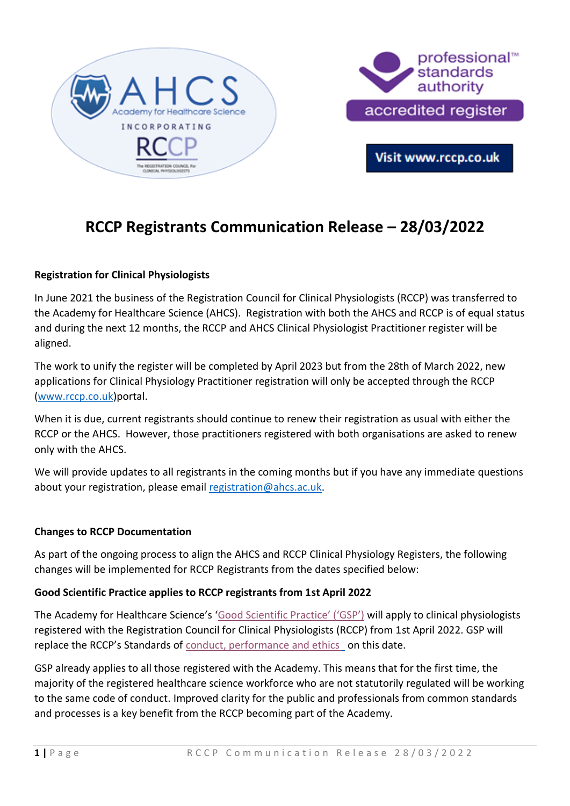

# **RCCP Registrants Communication Release – 28/03/2022**

### **Registration for Clinical Physiologists**

In June 2021 the business of the Registration Council for Clinical Physiologists (RCCP) was transferred to the Academy for Healthcare Science (AHCS). Registration with both the AHCS and RCCP is of equal status and during the next 12 months, the RCCP and AHCS Clinical Physiologist Practitioner register will be aligned.

The work to unify the register will be completed by April 2023 but from the 28th of March 2022, new applications for Clinical Physiology Practitioner registration will only be accepted through the RCCP [\(www.rccp.co.uk\)](http://www.rccp.co.uk/)portal.

When it is due, current registrants should continue to renew their registration as usual with either the RCCP or the AHCS. However, those practitioners registered with both organisations are asked to renew only with the AHCS.

We will provide updates to all registrants in the coming months but if you have any immediate questions about your registration, please email [registration@ahcs.ac.uk.](mailto:registration@ahcs.ac.uk)

#### **Changes to RCCP Documentation**

As part of the ongoing process to align the AHCS and RCCP Clinical Physiology Registers, the following changes will be implemented for RCCP Registrants from the dates specified below:

### **Good Scientific Practice applies to RCCP registrants from 1st April 2022**

The Academy for Healthcare Science's ['Good Scientific Practice' \('GSP'\)](https://rccp.co.uk/media/ak2nc3kj/ahcs-goodscientificpractice2021.pdf) will apply to clinical physiologists registered with the Registration Council for Clinical Physiologists (RCCP) from 1st April 2022. GSP will replace the RCCP's Standards of [conduct, performance and ethics](https://rccp.co.uk/media/rz3gtvm1/standards-of-conduct-performance-and-ethics-december-2021.pdf) on this date.

GSP already applies to all those registered with the Academy. This means that for the first time, the majority of the registered healthcare science workforce who are not statutorily regulated will be working to the same code of conduct. Improved clarity for the public and professionals from common standards and processes is a key benefit from the RCCP becoming part of the Academy.